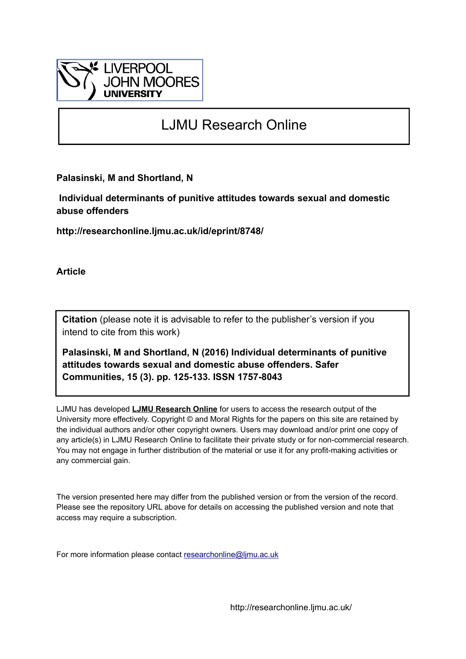

# LJMU Research Online

**Palasinski, M and Shortland, N**

 **Individual determinants of punitive attitudes towards sexual and domestic abuse offenders**

**http://researchonline.ljmu.ac.uk/id/eprint/8748/**

**Article**

**Citation** (please note it is advisable to refer to the publisher's version if you intend to cite from this work)

**Palasinski, M and Shortland, N (2016) Individual determinants of punitive attitudes towards sexual and domestic abuse offenders. Safer Communities, 15 (3). pp. 125-133. ISSN 1757-8043** 

LJMU has developed **[LJMU Research Online](http://researchonline.ljmu.ac.uk/)** for users to access the research output of the University more effectively. Copyright © and Moral Rights for the papers on this site are retained by the individual authors and/or other copyright owners. Users may download and/or print one copy of any article(s) in LJMU Research Online to facilitate their private study or for non-commercial research. You may not engage in further distribution of the material or use it for any profit-making activities or any commercial gain.

The version presented here may differ from the published version or from the version of the record. Please see the repository URL above for details on accessing the published version and note that access may require a subscription.

For more information please contact [researchonline@ljmu.ac.uk](mailto:researchonline@ljmu.ac.uk)

http://researchonline.ljmu.ac.uk/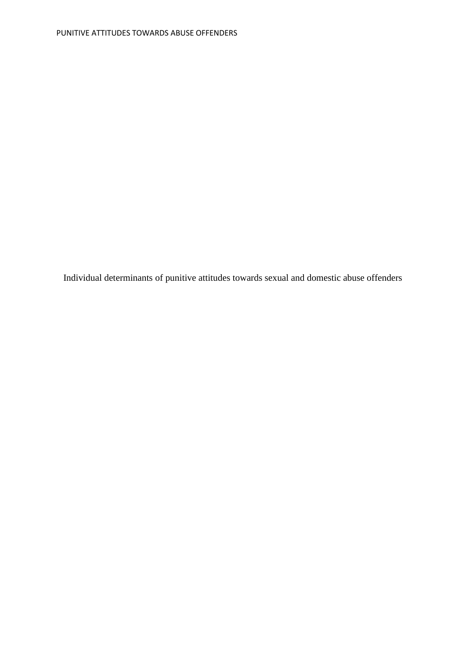Individual determinants of punitive attitudes towards sexual and domestic abuse offenders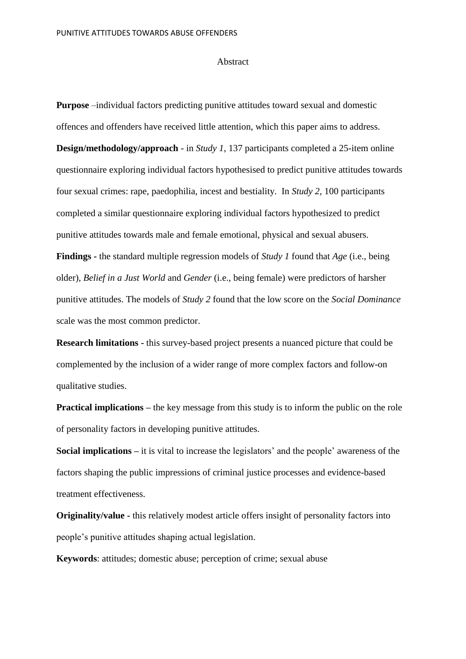#### Abstract

**Purpose** –individual factors predicting punitive attitudes toward sexual and domestic offences and offenders have received little attention, which this paper aims to address. **Design/methodology/approach** - in *Study 1*, 137 participants completed a 25-item online questionnaire exploring individual factors hypothesised to predict punitive attitudes towards four sexual crimes: rape, paedophilia, incest and bestiality. In *Study 2,* 100 participants completed a similar questionnaire exploring individual factors hypothesized to predict punitive attitudes towards male and female emotional, physical and sexual abusers. **Findings -** the standard multiple regression models of *Study 1* found that *Age* (i.e., being older)*, Belief in a Just World* and *Gender* (i.e., being female) were predictors of harsher punitive attitudes. The models of *Study 2* found that the low score on the *Social Dominance* 

scale was the most common predictor.

**Research limitations -** this survey-based project presents a nuanced picture that could be complemented by the inclusion of a wider range of more complex factors and follow-on qualitative studies.

**Practical implications** – the key message from this study is to inform the public on the role of personality factors in developing punitive attitudes.

**Social implications –** it is vital to increase the legislators' and the people' awareness of the factors shaping the public impressions of criminal justice processes and evidence-based treatment effectiveness.

**Originality/value -** this relatively modest article offers insight of personality factors into people's punitive attitudes shaping actual legislation.

**Keywords**: attitudes; domestic abuse; perception of crime; sexual abuse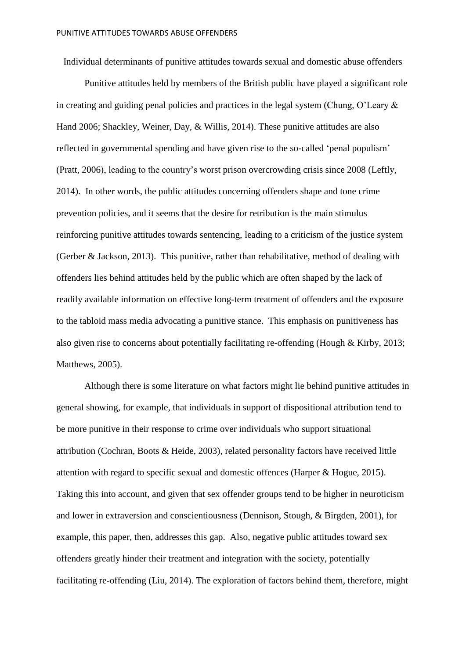Individual determinants of punitive attitudes towards sexual and domestic abuse offenders

Punitive attitudes held by members of the British public have played a significant role in creating and guiding penal policies and practices in the legal system (Chung, O'Leary & Hand 2006; Shackley, Weiner, Day, & Willis, 2014). These punitive attitudes are also reflected in governmental spending and have given rise to the so-called 'penal populism' (Pratt, 2006), leading to the country's worst prison overcrowding crisis since 2008 (Leftly, 2014). In other words, the public attitudes concerning offenders shape and tone crime prevention policies, and it seems that the desire for retribution is the main stimulus reinforcing punitive attitudes towards sentencing, leading to a criticism of the justice system (Gerber & Jackson, 2013). This punitive, rather than rehabilitative, method of dealing with offenders lies behind attitudes held by the public which are often shaped by the lack of readily available information on effective long-term treatment of offenders and the exposure to the tabloid mass media advocating a punitive stance. This emphasis on punitiveness has also given rise to concerns about potentially facilitating re-offending (Hough & Kirby, 2013; Matthews, 2005).

Although there is some literature on what factors might lie behind punitive attitudes in general showing, for example, that individuals in support of dispositional attribution tend to be more punitive in their response to crime over individuals who support situational attribution (Cochran, Boots & Heide, 2003), related personality factors have received little attention with regard to specific sexual and domestic offences (Harper & Hogue, 2015). Taking this into account, and given that sex offender groups tend to be higher in neuroticism and lower in extraversion and conscientiousness (Dennison, Stough, & Birgden, 2001), for example, this paper, then, addresses this gap. Also, negative public attitudes toward sex offenders greatly hinder their treatment and integration with the society, potentially facilitating re-offending (Liu, 2014). The exploration of factors behind them, therefore, might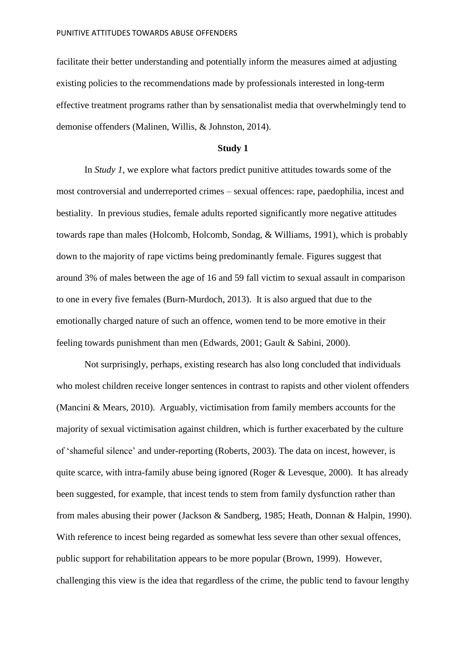facilitate their better understanding and potentially inform the measures aimed at adjusting existing policies to the recommendations made by professionals interested in long-term effective treatment programs rather than by sensationalist media that overwhelmingly tend to demonise offenders (Malinen, Willis, & Johnston, 2014).

#### **Study 1**

In *Study 1*, we explore what factors predict punitive attitudes towards some of the most controversial and underreported crimes – sexual offences: rape, paedophilia, incest and bestiality. In previous studies, female adults reported significantly more negative attitudes towards rape than males (Holcomb, Holcomb, Sondag, & Williams, 1991), which is probably down to the majority of rape victims being predominantly female. Figures suggest that around 3% of males between the age of 16 and 59 fall victim to sexual assault in comparison to one in every five females (Burn-Murdoch, 2013). It is also argued that due to the emotionally charged nature of such an offence, women tend to be more emotive in their feeling towards punishment than men (Edwards, 2001; Gault & Sabini, 2000).

Not surprisingly, perhaps, existing research has also long concluded that individuals who molest children receive longer sentences in contrast to rapists and other violent offenders (Mancini & Mears, 2010). Arguably, victimisation from family members accounts for the majority of sexual victimisation against children, which is further exacerbated by the culture of 'shameful silence' and under-reporting (Roberts, 2003). The data on incest, however, is quite scarce, with intra-family abuse being ignored (Roger & Levesque, 2000). It has already been suggested, for example, that incest tends to stem from family dysfunction rather than from males abusing their power (Jackson & Sandberg, 1985; Heath, Donnan & Halpin, 1990). With reference to incest being regarded as somewhat less severe than other sexual offences, public support for rehabilitation appears to be more popular (Brown, 1999). However, challenging this view is the idea that regardless of the crime, the public tend to favour lengthy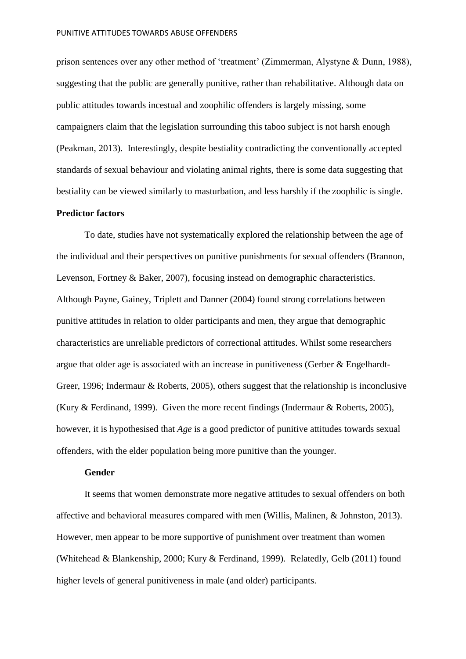prison sentences over any other method of 'treatment' (Zimmerman, Alystyne & Dunn, 1988), suggesting that the public are generally punitive, rather than rehabilitative. Although data on public attitudes towards incestual and zoophilic offenders is largely missing, some campaigners claim that the legislation surrounding this taboo subject is not harsh enough (Peakman, 2013). Interestingly, despite bestiality contradicting the conventionally accepted standards of sexual behaviour and violating animal rights, there is some data suggesting that bestiality can be viewed similarly to masturbation, and less harshly if the zoophilic is single.

#### **Predictor factors**

To date, studies have not systematically explored the relationship between the age of the individual and their perspectives on punitive punishments for sexual offenders (Brannon, Levenson, Fortney & Baker, 2007), focusing instead on demographic characteristics. Although Payne, Gainey, Triplett and Danner (2004) found strong correlations between punitive attitudes in relation to older participants and men, they argue that demographic characteristics are unreliable predictors of correctional attitudes. Whilst some researchers argue that older age is associated with an increase in punitiveness (Gerber & Engelhardt-Greer, 1996; Indermaur & Roberts, 2005), others suggest that the relationship is inconclusive (Kury & Ferdinand, 1999). Given the more recent findings (Indermaur & Roberts, 2005), however, it is hypothesised that *Age* is a good predictor of punitive attitudes towards sexual offenders, with the elder population being more punitive than the younger.

## **Gender**

It seems that women demonstrate more negative attitudes to sexual offenders on both affective and behavioral measures compared with men (Willis, Malinen, & Johnston, 2013). However, men appear to be more supportive of punishment over treatment than women (Whitehead & Blankenship, 2000; Kury & Ferdinand, 1999). Relatedly, Gelb (2011) found higher levels of general punitiveness in male (and older) participants.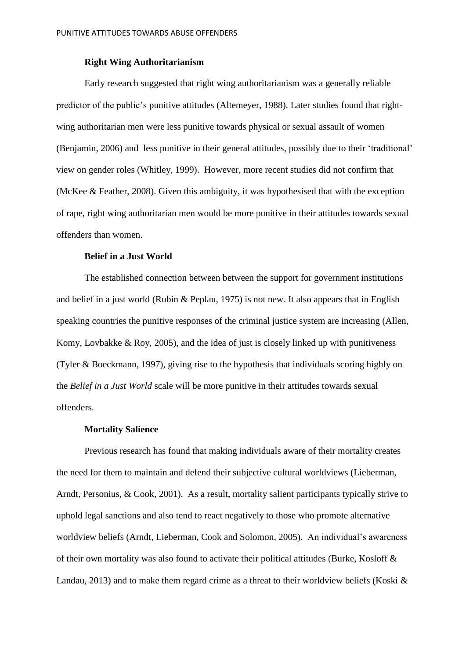# **Right Wing Authoritarianism**

Early research suggested that right wing authoritarianism was a generally reliable predictor of the public's punitive attitudes (Altemeyer, 1988). Later studies found that rightwing authoritarian men were less punitive towards physical or sexual assault of women (Benjamin, 2006) and less punitive in their general attitudes, possibly due to their 'traditional' view on gender roles (Whitley, 1999). However, more recent studies did not confirm that (McKee & Feather, 2008). Given this ambiguity, it was hypothesised that with the exception of rape, right wing authoritarian men would be more punitive in their attitudes towards sexual offenders than women.

# **Belief in a Just World**

The established connection between between the support for government institutions and belief in a just world (Rubin & Peplau, 1975) is not new. It also appears that in English speaking countries the punitive responses of the criminal justice system are increasing (Allen, Komy, Lovbakke & Roy, 2005), and the idea of just is closely linked up with punitiveness (Tyler & Boeckmann, 1997), giving rise to the hypothesis that individuals scoring highly on the *Belief in a Just World* scale will be more punitive in their attitudes towards sexual offenders.

## **Mortality Salience**

Previous research has found that making individuals aware of their mortality creates the need for them to maintain and defend their subjective cultural worldviews (Lieberman, Arndt, Personius, & Cook, 2001). As a result, mortality salient participants typically strive to uphold legal sanctions and also tend to react negatively to those who promote alternative worldview beliefs (Arndt, Lieberman, Cook and Solomon, 2005). An individual's awareness of their own mortality was also found to activate their political attitudes (Burke, Kosloff & Landau, 2013) and to make them regard crime as a threat to their worldview beliefs (Koski &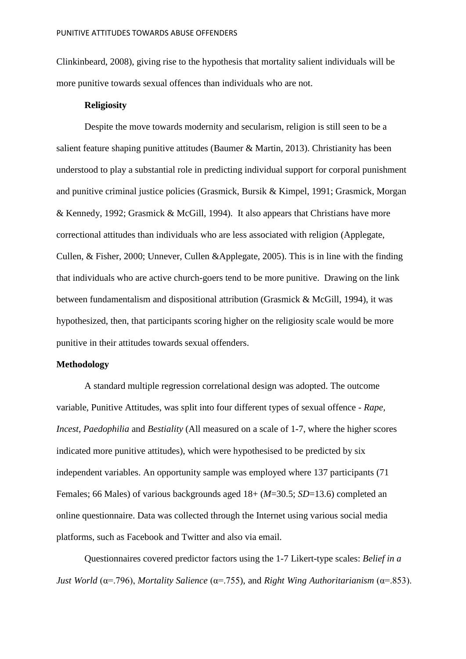Clinkinbeard, 2008), giving rise to the hypothesis that mortality salient individuals will be more punitive towards sexual offences than individuals who are not.

## **Religiosity**

Despite the move towards modernity and secularism, religion is still seen to be a salient feature shaping punitive attitudes (Baumer & Martin, 2013). Christianity has been understood to play a substantial role in predicting individual support for corporal punishment and punitive criminal justice policies (Grasmick, Bursik & Kimpel, 1991; Grasmick, Morgan & Kennedy, 1992; Grasmick & McGill, 1994). It also appears that Christians have more correctional attitudes than individuals who are less associated with religion (Applegate, Cullen, & Fisher, 2000; Unnever, Cullen &Applegate, 2005). This is in line with the finding that individuals who are active church-goers tend to be more punitive. Drawing on the link between fundamentalism and dispositional attribution (Grasmick & McGill, 1994), it was hypothesized, then, that participants scoring higher on the religiosity scale would be more punitive in their attitudes towards sexual offenders.

# **Methodology**

A standard multiple regression correlational design was adopted. The outcome variable, Punitive Attitudes, was split into four different types of sexual offence - *Rape, Incest, Paedophilia* and *Bestiality* (All measured on a scale of 1-7, where the higher scores indicated more punitive attitudes), which were hypothesised to be predicted by six independent variables. An opportunity sample was employed where 137 participants (71 Females; 66 Males) of various backgrounds aged 18+ (*M*=30.5; *SD*=13.6) completed an online questionnaire. Data was collected through the Internet using various social media platforms, such as Facebook and Twitter and also via email.

Questionnaires covered predictor factors using the 1-7 Likert-type scales: *Belief in a Just World* (α=.796), *Mortality Salience* (α=.755), and *Right Wing Authoritarianism* (α=.853).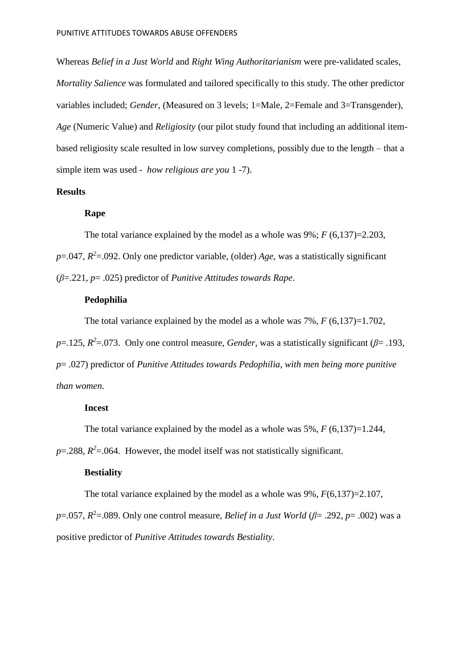Whereas *Belief in a Just World* and *Right Wing Authoritarianism* were pre-validated scales, *Mortality Salience* was formulated and tailored specifically to this study. The other predictor variables included; *Gender*, (Measured on 3 levels; 1=Male, 2=Female and 3=Transgender), *Age* (Numeric Value) and *Religiosity* (our pilot study found that including an additional itembased religiosity scale resulted in low survey completions, possibly due to the length – that a simple item was used - *how religious are you* 1 -7).

# **Results**

# **Rape**

The total variance explained by the model as a whole was  $9\%$ ;  $F(6,137)=2.203$ ,  $p=0.047$ ,  $R^2=0.092$ . Only one predictor variable, (older) *Age*, was a statistically significant (*β*=.221, *p*= .025) predictor of *Punitive Attitudes towards Rape*.

# **Pedophilia**

The total variance explained by the model as a whole was  $7\%$ ,  $F(6,137)=1.702$ ,

 $p=125$ ,  $R^2=073$ . Only one control measure, *Gender*, was a statistically significant ( $\beta$ = .193, *p*= .027) predictor of *Punitive Attitudes towards Pedophilia, with men being more punitive than women*.

# **Incest**

The total variance explained by the model as a whole was 5%, *F* (6,137)=1.244,

 $p = 0.288$ ,  $R^2 = 0.064$ . However, the model itself was not statistically significant.

# **Bestiality**

The total variance explained by the model as a whole was 9%, *F*(6,137)=2.107, *p*=.057,  $R^2$ =.089. Only one control measure, *Belief in a Just World* ( $\beta$ = .292, *p*= .002) was a positive predictor of *Punitive Attitudes towards Bestiality*.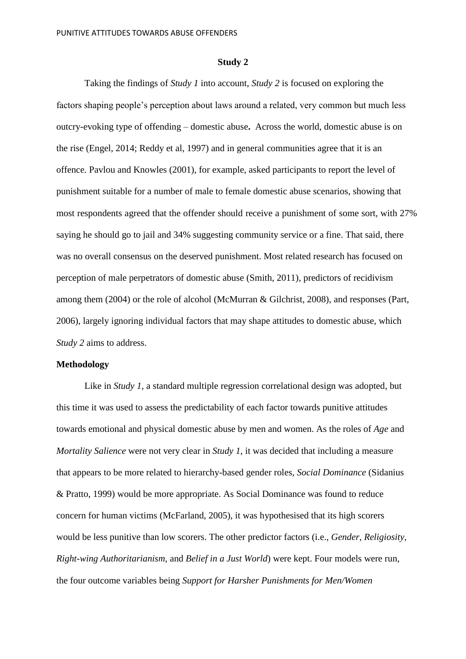#### **Study 2**

Taking the findings of *Study 1* into account, *Study 2* is focused on exploring the factors shaping people's perception about laws around a related, very common but much less outcry-evoking type of offending – domestic abuse**.** Across the world, domestic abuse is on the rise (Engel, 2014; Reddy et al, 1997) and in general communities agree that it is an offence. Pavlou and Knowles (2001), for example, asked participants to report the level of punishment suitable for a number of male to female domestic abuse scenarios, showing that most respondents agreed that the offender should receive a punishment of some sort, with 27% saying he should go to jail and 34% suggesting community service or a fine. That said, there was no overall consensus on the deserved punishment. Most related research has focused on perception of male perpetrators of domestic abuse (Smith, 2011), predictors of recidivism among them (2004) or the role of alcohol (McMurran & Gilchrist, 2008), and responses (Part, 2006), largely ignoring individual factors that may shape attitudes to domestic abuse, which *Study 2* aims to address.

# **Methodology**

Like in *Study 1*, a standard multiple regression correlational design was adopted, but this time it was used to assess the predictability of each factor towards punitive attitudes towards emotional and physical domestic abuse by men and women. As the roles of *Age* and *Mortality Salience* were not very clear in *Study 1*, it was decided that including a measure that appears to be more related to hierarchy-based gender roles*, Social Dominance* (Sidanius & Pratto, 1999) would be more appropriate. As Social Dominance was found to reduce concern for human victims (McFarland, 2005), it was hypothesised that its high scorers would be less punitive than low scorers. The other predictor factors (i.e., *Gender, Religiosity, Right-wing Authoritarianism,* and *Belief in a Just World*) were kept. Four models were run, the four outcome variables being *Support for Harsher Punishments for Men/Women*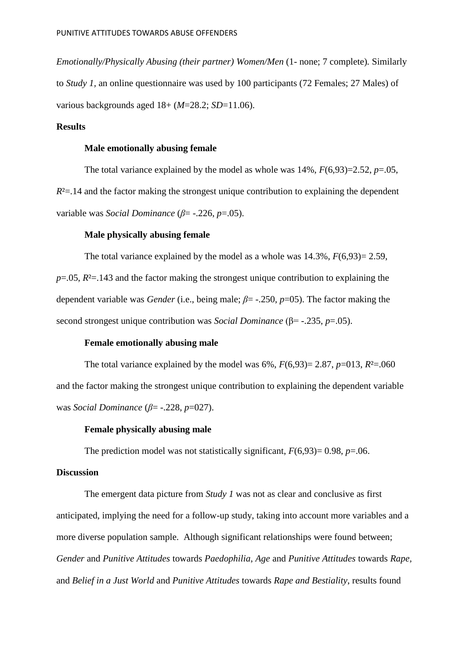*Emotionally/Physically Abusing (their partner) Women/Men* (1- none; 7 complete)*.* Similarly to *Study 1,* an online questionnaire was used by 100 participants (72 Females; 27 Males) of various backgrounds aged 18+ (*M*=28.2; *SD*=11.06).

# **Results**

## **Male emotionally abusing female**

The total variance explained by the model as whole was 14%, *F*(6,93)=2.52, *p*=.05,  $R<sup>2</sup>=.14$  and the factor making the strongest unique contribution to explaining the dependent variable was *Social Dominance* (*β*= -.226, *p*=.05).

# **Male physically abusing female**

The total variance explained by the model as a whole was 14.3%, *F*(6,93)= 2.59, *p*=.05, *R*²=.143 and the factor making the strongest unique contribution to explaining the dependent variable was *Gender* (i.e., being male; *β*= -.250, *p*=05). The factor making the second strongest unique contribution was *Social Dominance* (β= -.235, *p*=.05).

# **Female emotionally abusing male**

The total variance explained by the model was  $6\%$ ,  $F(6,93)=2.87$ ,  $p=013$ ,  $R<sup>2</sup>=0.060$ and the factor making the strongest unique contribution to explaining the dependent variable was *Social Dominance* (*β*= -.228, *p*=027).

# **Female physically abusing male**

The prediction model was not statistically significant,  $F(6,93)=0.98$ ,  $p=.06$ .

#### **Discussion**

The emergent data picture from *Study 1* was not as clear and conclusive as first anticipated, implying the need for a follow-up study, taking into account more variables and a more diverse population sample. Although significant relationships were found between; *Gender* and *Punitive Attitudes* towards *Paedophilia*, *Age* and *Punitive Attitudes* towards *Rape,* and *Belief in a Just World* and *Punitive Attitudes* towards *Rape and Bestiality*, results found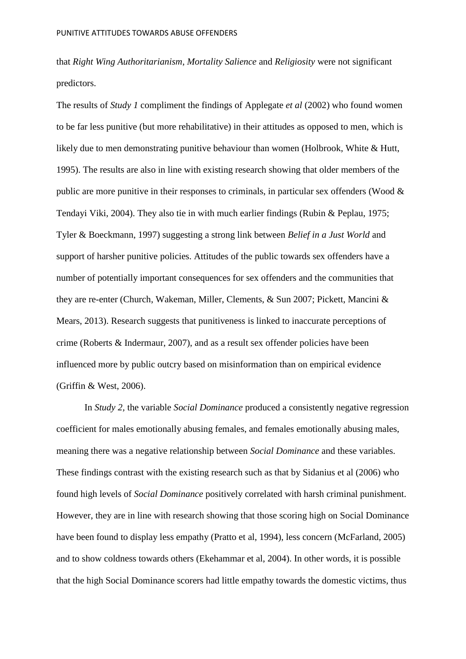that *Right Wing Authoritarianism*, *Mortality Salience* and *Religiosity* were not significant predictors.

The results of *Study 1* compliment the findings of Applegate *et al* (2002) who found women to be far less punitive (but more rehabilitative) in their attitudes as opposed to men, which is likely due to men demonstrating punitive behaviour than women (Holbrook, White & Hutt, 1995). The results are also in line with existing research showing that older members of the public are more punitive in their responses to criminals, in particular sex offenders (Wood & Tendayi Viki, 2004). They also tie in with much earlier findings (Rubin & Peplau, 1975; Tyler & Boeckmann, 1997) suggesting a strong link between *Belief in a Just World* and support of harsher punitive policies. Attitudes of the public towards sex offenders have a number of potentially important consequences for sex offenders and the communities that they are re-enter (Church, Wakeman, Miller, Clements, & Sun 2007; Pickett, Mancini & Mears, 2013). Research suggests that punitiveness is linked to inaccurate perceptions of crime (Roberts & Indermaur, 2007), and as a result sex offender policies have been influenced more by public outcry based on misinformation than on empirical evidence (Griffin & West, 2006).

In *Study 2,* the variable *Social Dominance* produced a consistently negative regression coefficient for males emotionally abusing females, and females emotionally abusing males, meaning there was a negative relationship between *Social Dominance* and these variables. These findings contrast with the existing research such as that by Sidanius et al (2006) who found high levels of *Social Dominance* positively correlated with harsh criminal punishment. However, they are in line with research showing that those scoring high on Social Dominance have been found to display less empathy (Pratto et al, 1994), less concern (McFarland, 2005) and to show coldness towards others (Ekehammar et al, 2004). In other words, it is possible that the high Social Dominance scorers had little empathy towards the domestic victims, thus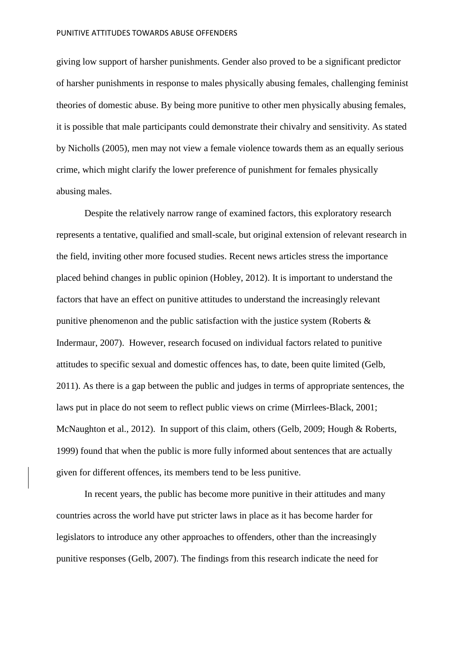#### PUNITIVE ATTITUDES TOWARDS ABUSE OFFENDERS

giving low support of harsher punishments. Gender also proved to be a significant predictor of harsher punishments in response to males physically abusing females, challenging feminist theories of domestic abuse. By being more punitive to other men physically abusing females, it is possible that male participants could demonstrate their chivalry and sensitivity. As stated by Nicholls (2005), men may not view a female violence towards them as an equally serious crime, which might clarify the lower preference of punishment for females physically abusing males.

Despite the relatively narrow range of examined factors, this exploratory research represents a tentative, qualified and small-scale, but original extension of relevant research in the field, inviting other more focused studies. Recent news articles stress the importance placed behind changes in public opinion (Hobley, 2012). It is important to understand the factors that have an effect on punitive attitudes to understand the increasingly relevant punitive phenomenon and the public satisfaction with the justice system (Roberts & Indermaur, 2007). However, research focused on individual factors related to punitive attitudes to specific sexual and domestic offences has, to date, been quite limited (Gelb, 2011). As there is a gap between the public and judges in terms of appropriate sentences, the laws put in place do not seem to reflect public views on crime (Mirrlees-Black, 2001; McNaughton et al., 2012). In support of this claim, others (Gelb, 2009; Hough & Roberts, 1999) found that when the public is more fully informed about sentences that are actually given for different offences, its members tend to be less punitive.

In recent years, the public has become more punitive in their attitudes and many countries across the world have put stricter laws in place as it has become harder for legislators to introduce any other approaches to offenders, other than the increasingly punitive responses (Gelb, 2007). The findings from this research indicate the need for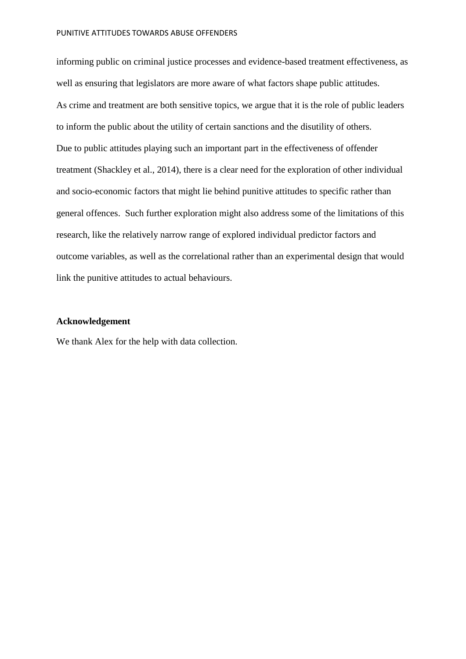#### PUNITIVE ATTITUDES TOWARDS ABUSE OFFENDERS

informing public on criminal justice processes and evidence-based treatment effectiveness, as well as ensuring that legislators are more aware of what factors shape public attitudes. As crime and treatment are both sensitive topics, we argue that it is the role of public leaders to inform the public about the utility of certain sanctions and the disutility of others. Due to public attitudes playing such an important part in the effectiveness of offender treatment (Shackley et al., 2014), there is a clear need for the exploration of other individual and socio-economic factors that might lie behind punitive attitudes to specific rather than general offences. Such further exploration might also address some of the limitations of this research, like the relatively narrow range of explored individual predictor factors and outcome variables, as well as the correlational rather than an experimental design that would link the punitive attitudes to actual behaviours.

# **Acknowledgement**

We thank Alex for the help with data collection.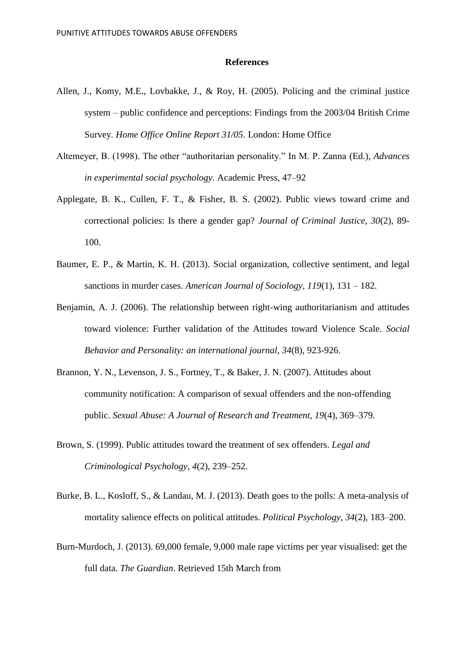#### **References**

- Allen, J., Komy, M.E., Lovbakke, J., & Roy, H. (2005). Policing and the criminal justice system – public confidence and perceptions: Findings from the 2003/04 British Crime Survey. *Home Office Online Report 31/05*. London: Home Office
- Altemeyer, B. (1998). The other "authoritarian personality." In M. P. Zanna (Ed.), *Advances in experimental social psychology.* Academic Press, 47–92
- Applegate, B. K., Cullen, F. T., & Fisher, B. S. (2002). Public views toward crime and correctional policies: Is there a gender gap? *Journal of Criminal Justice, 30*(2), 89- 100.
- Baumer, E. P., & Martin, K. H. (2013). Social organization, collective sentiment, and legal sanctions in murder cases. *American Journal of Sociology, 119*(1), 131 – 182.
- Benjamin, A. J. (2006). The relationship between right-wing authoritarianism and attitudes toward violence: Further validation of the Attitudes toward Violence Scale. *Social Behavior and Personality: an international journal*, *34*(8), 923-926.
- Brannon, Y. N., Levenson, J. S., Fortney, T., & Baker, J. N. (2007). Attitudes about community notification: A comparison of sexual offenders and the non-offending public. *Sexual Abuse: A Journal of Research and Treatment, 19*(4), 369–379.
- Brown, S. (1999). Public attitudes toward the treatment of sex offenders. *Legal and Criminological Psychology*, *4*(2), 239–252.
- Burke, B. L., Kosloff, S., & Landau, M. J. (2013). Death goes to the polls: A meta-analysis of mortality salience effects on political attitudes. *Political Psychology*, *34*(2), 183–200.
- Burn-Murdoch, J. (2013). 69,000 female, 9,000 male rape victims per year visualised: get the full data. *The Guardian*. Retrieved 15th March from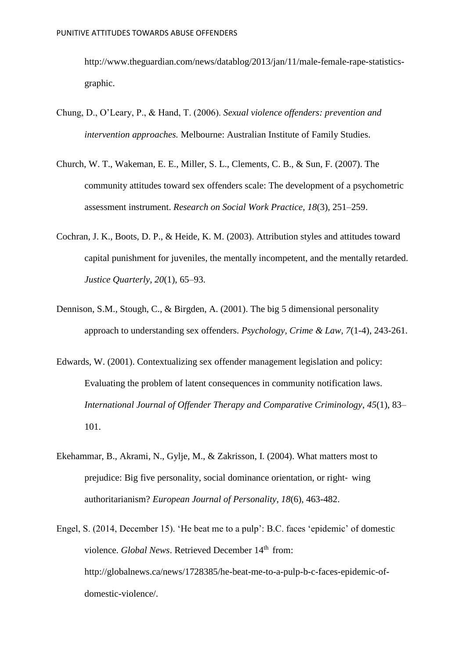[http://www.theguardian.com/news/datablog/2013/jan/11/male-female-rape-statistics](http://www.theguardian.com/news/datablog/2013/jan/11/male-female-rape-statistics-graphic)[graphic.](http://www.theguardian.com/news/datablog/2013/jan/11/male-female-rape-statistics-graphic)

- Chung, D., O'Leary, P., & Hand, T. (2006). *Sexual violence offenders: prevention and intervention approaches.* Melbourne: Australian Institute of Family Studies.
- Church, W. T., Wakeman, E. E., Miller, S. L., Clements, C. B., & Sun, F. (2007). The community attitudes toward sex offenders scale: The development of a psychometric assessment instrument. *Research on Social Work Practice*, *18*(3), 251–259.
- Cochran, J. K., Boots, D. P., & Heide, K. M. (2003). Attribution styles and attitudes toward capital punishment for juveniles, the mentally incompetent, and the mentally retarded. *Justice Quarterly*, *20*(1), 65–93.
- Dennison, S.M., Stough, C., & Birgden, A. (2001). The big 5 dimensional personality approach to understanding sex offenders. *Psychology, Crime & Law, 7*(1-4), 243-261.
- Edwards, W. (2001). Contextualizing sex offender management legislation and policy: Evaluating the problem of latent consequences in community notification laws. *International Journal of Offender Therapy and Comparative Criminology*, *45*(1), 83– 101.
- Ekehammar, B., Akrami, N., Gylje, M., & Zakrisson, I. (2004). What matters most to prejudice: Big five personality, social dominance orientation, or right‐ wing authoritarianism? *European Journal of Personality*, *18*(6), 463-482.
- Engel, S. (2014, December 15). 'He beat me to a pulp': B.C. faces 'epidemic' of domestic violence. *Global News*. Retrieved December 14<sup>th</sup> from: http://globalnews.ca/news/1728385/he-beat-me-to-a-pulp-b-c-faces-epidemic-ofdomestic-violence/.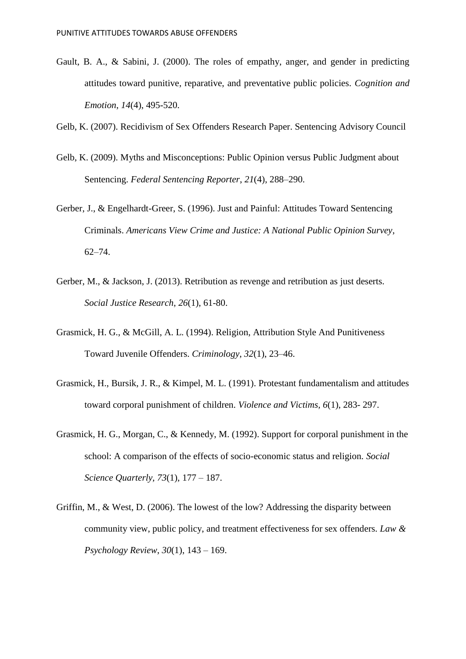Gault, B. A., & Sabini, J. (2000). The roles of empathy, anger, and gender in predicting attitudes toward punitive, reparative, and preventative public policies. *Cognition and Emotion*, *14*(4), 495-520.

Gelb, K. (2007). Recidivism of Sex Offenders Research Paper. Sentencing Advisory Council

- Gelb, K. (2009). Myths and Misconceptions: Public Opinion versus Public Judgment about Sentencing. *Federal Sentencing Reporter*, *21*(4), 288–290.
- Gerber, J., & Engelhardt-Greer, S. (1996). Just and Painful: Attitudes Toward Sentencing Criminals. *Americans View Crime and Justice: A National Public Opinion Survey*, 62–74.
- Gerber, M., & Jackson, J. (2013). Retribution as revenge and retribution as just deserts. *Social Justice Research*, *26*(1), 61-80.
- Grasmick, H. G., & McGill, A. L. (1994). Religion, Attribution Style And Punitiveness Toward Juvenile Offenders. *Criminology*, *32*(1), 23–46.
- Grasmick, H., Bursik, J. R., & Kimpel, M. L. (1991). Protestant fundamentalism and attitudes toward corporal punishment of children. *Violence and Victims, 6*(1), 283- 297.
- Grasmick, H. G., Morgan, C., & Kennedy, M. (1992). Support for corporal punishment in the school: A comparison of the effects of socio-economic status and religion. *Social Science Quarterly, 73*(1)*,* 177 – 187.
- Griffin, M., & West, D. (2006). The lowest of the low? Addressing the disparity between community view, public policy, and treatment effectiveness for sex offenders. *Law & Psychology Review*, *30*(1), 143 – 169.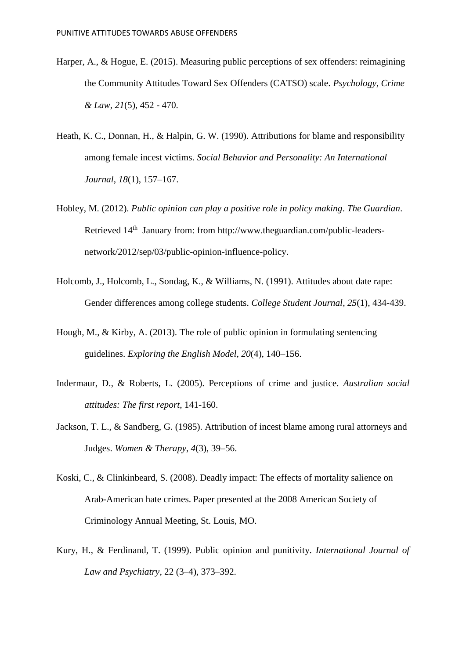- Harper, A., & Hogue, E. (2015). Measuring public perceptions of sex offenders: reimagining the Community Attitudes Toward Sex Offenders (CATSO) scale. *Psychology, Crime & Law, 21*(5), 452 - 470.
- Heath, K. C., Donnan, H., & Halpin, G. W. (1990). Attributions for blame and responsibility among female incest victims. *Social Behavior and Personality: An International Journal*, *18*(1), 157–167.
- Hobley, M. (2012). *Public opinion can play a positive role in policy making*. *The Guardian*. Retrieved 14<sup>th</sup> January from: from [http://www.theguardian.com/public-leaders](http://www.theguardian.com/public-leaders-network/2012/sep/03/public-opinion-influence-policy)[network/2012/sep/03/public-opinion-influence-policy.](http://www.theguardian.com/public-leaders-network/2012/sep/03/public-opinion-influence-policy)
- Holcomb, J., Holcomb, L., Sondag, K., & Williams, N. (1991). Attitudes about date rape: Gender differences among college students. *College Student Journal*, *25*(1), 434-439.
- Hough, M., & Kirby, A. (2013). The role of public opinion in formulating sentencing guidelines. *Exploring the English Model*, *20*(4), 140–156.
- Indermaur, D., & Roberts, L. (2005). Perceptions of crime and justice. *Australian social attitudes: The first report*, 141-160.
- Jackson, T. L., & Sandberg, G. (1985). Attribution of incest blame among rural attorneys and Judges. *Women & Therapy*, *4*(3), 39–56.
- Koski, C., & Clinkinbeard, S. (2008). Deadly impact: The effects of mortality salience on Arab-American hate crimes. Paper presented at the 2008 American Society of Criminology Annual Meeting, St. Louis, MO.
- Kury, H., & Ferdinand, T. (1999). Public opinion and punitivity. *International Journal of Law and Psychiatry*, 22 (3–4), 373–392.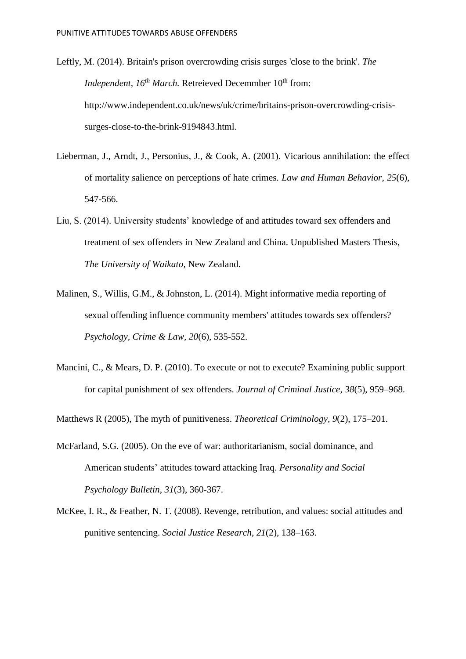Leftly, M. (2014). Britain's prison overcrowding crisis surges 'close to the brink'. *The Independent, 16<sup>th</sup> March.* Retreieved Decemmber 10<sup>th</sup> from: [http://www.independent.co.uk/news/uk/crime/britains-prison-overcrowding-crisis](http://www.independent.co.uk/news/uk/crime/britains-prison-overcrowding-crisis-surges-close-to-the-brink-9194843.html)[surges-close-to-the-brink-9194843.html.](http://www.independent.co.uk/news/uk/crime/britains-prison-overcrowding-crisis-surges-close-to-the-brink-9194843.html)

- Lieberman, J., Arndt, J., Personius, J., & Cook, A. (2001). Vicarious annihilation: the effect of mortality salience on perceptions of hate crimes. *Law and Human Behavior*, *25*(6), 547-566.
- Liu, S. (2014). University students' knowledge of and attitudes toward sex offenders and treatment of sex offenders in New Zealand and China. Unpublished Masters Thesis, *The University of Waikato,* New Zealand.
- Malinen, S., Willis, G.M., & Johnston, L. (2014). Might informative media reporting of sexual offending influence community members' attitudes towards sex offenders? *Psychology, Crime & Law, 20*(6), 535-552.
- Mancini, C., & Mears, D. P. (2010). To execute or not to execute? Examining public support for capital punishment of sex offenders. *Journal of Criminal Justice*, *38*(5), 959–968.

Matthews R (2005), The myth of punitiveness. *Theoretical Criminology, 9*(2), 175–201.

- McFarland, S.G. (2005). On the eve of war: authoritarianism, social dominance, and American students' attitudes toward attacking Iraq. *Personality and Social Psychology Bulletin, 31*(3), 360-367.
- McKee, I. R., & Feather, N. T. (2008). Revenge, retribution, and values: social attitudes and punitive sentencing. *Social Justice Research*, *21*(2), 138–163.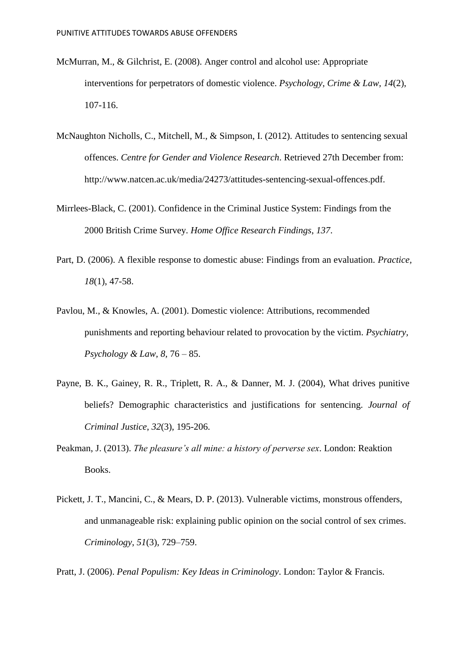- McMurran, M., & Gilchrist, E. (2008). [Anger control and alcohol use: Appropriate](http://www.tandfonline.com/doi/full/10.1080/10683160701483435#abstract)  [interventions for perpetrators of](http://www.tandfonline.com/doi/full/10.1080/10683160701483435#abstract) domestic violence. *Psychology, Crime & Law, 14*(2), 107-116.
- McNaughton Nicholls, C., Mitchell, M., & Simpson, I. (2012). Attitudes to sentencing sexual offences. *Centre for Gender and Violence Research*. Retrieved 27th December from: http://www.natcen.ac.uk/media/24273/attitudes-sentencing-sexual-offences.pdf.
- Mirrlees-Black, C. (2001). Confidence in the Criminal Justice System: Findings from the 2000 British Crime Survey. *Home Office Research Findings*, *137*.
- Part, D. (2006). A flexible response to domestic abuse: Findings from an evaluation. *Practice, 18*(1), 47-58.
- Pavlou, M., & Knowles, A. (2001). Domestic violence: Attributions, recommended punishments and reporting behaviour related to provocation by the victim. *Psychiatry, Psychology & Law, 8,* 76 – 85.
- Payne, B. K., Gainey, R. R., Triplett, R. A., & Danner, M. J. (2004), What drives punitive beliefs? Demographic characteristics and justifications for sentencing. *Journal of Criminal Justice*, *32*(3), 195-206.
- Peakman, J. (2013). *The pleasure's all mine: a history of perverse sex*. London: Reaktion Books.
- Pickett, J. T., Mancini, C., & Mears, D. P. (2013). Vulnerable victims, monstrous offenders, and unmanageable risk: explaining public opinion on the social control of sex crimes. *Criminology*, *51*(3), 729–759.

Pratt, J. (2006). *Penal Populism: Key Ideas in Criminology*. London: Taylor & Francis.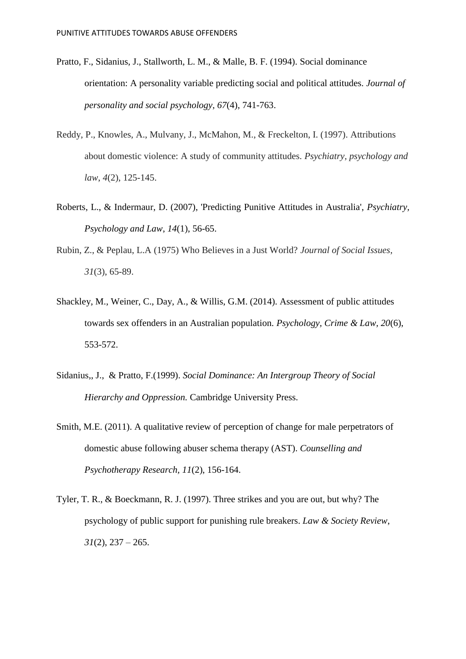- Pratto, F., Sidanius, J., Stallworth, L. M., & Malle, B. F. (1994). Social dominance orientation: A personality variable predicting social and political attitudes. *Journal of personality and social psychology*, *67*(4), 741-763.
- Reddy, P., Knowles, A., Mulvany, J., McMahon, M., & Freckelton, I. (1997). Attributions about domestic violence: A study of community attitudes. *Psychiatry, psychology and law*, *4*(2), 125-145.
- Roberts, L., & Indermaur, D. (2007), 'Predicting Punitive Attitudes in Australia', *Psychiatry, Psychology and Law*, *14*(1), 56-65.
- Rubin, Z., & Peplau, L.A (1975) Who Believes in a Just World? *Journal of Social Issues*, *31*(3), 65-89.
- Shackley, M., Weiner, C., Day, A., & Willis, G.M. (2014). Assessment of public attitudes towards sex offenders in an Australian population. *Psychology, Crime & Law, 20*(6), 553-572.
- Sidanius,, J., & Pratto, F.(1999). *Social Dominance: An Intergroup Theory of Social Hierarchy and Oppression.* Cambridge University Press.
- Smith, M.E. (2011). A qualitative review of perception of change for male perpetrators of domestic abuse following abuser schema therapy (AST). *Counselling and Psychotherapy Research, 11*(2), 156-164.
- Tyler, T. R., & Boeckmann, R. J. (1997). Three strikes and you are out, but why? The psychology of public support for punishing rule breakers. *Law & Society Review*,  $31(2)$ ,  $237 - 265$ .